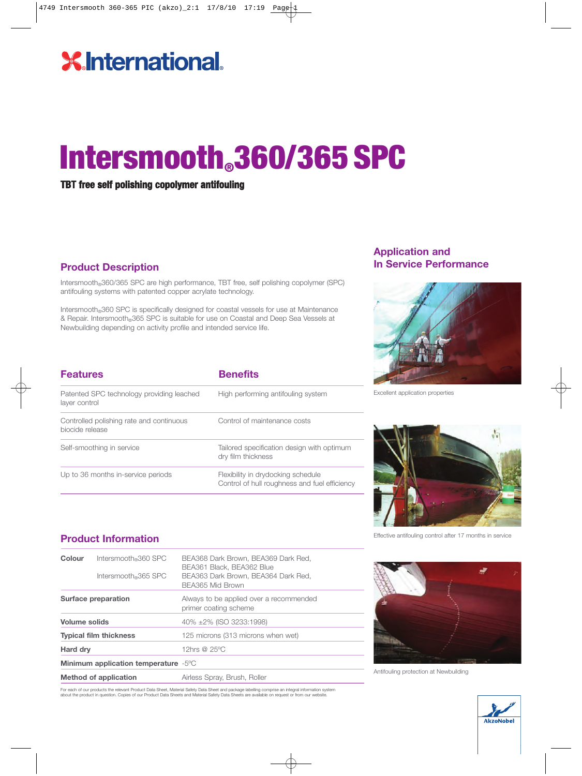### **X** International.

## Intersmooth.360/365 SPC

**TBT free self polishing copolymer antifouling**

#### **Product Description**

Patented SPC technology providing leached

**Features Benefits**

Controlled polishing rate and continuous

layer control

biocide release

Self-smoothing in service

Intersmooth®360/365 SPC are high performance, TBT free, self polishing copolymer (SPC) antifouling systems with patented copper acrylate technology.

Intersmooth®360 SPC is specifically designed for coastal vessels for use at Maintenance & Repair. Intersmooth®365 SPC is suitable for use on Coastal and Deep Sea Vessels at Newbuilding depending on activity profile and intended service life.

High performing antifouling system

Tailored specification design with optimum

Control of hull roughness and fuel efficiency

Control of maintenance costs

Flexibility in drydocking schedule

dry film thickness

#### **Application and In Service Performance**



Excellent application properties



Effective antifouling control after 17 months in service

#### **Product Information**

Up to 36 months in-service periods

| Colour                                            | Intersmooth 360 SPC<br>Intersmooth®365 SPC | BEA368 Dark Brown, BEA369 Dark Red,<br>BEA361 Black, BEA362 Blue<br>BEA363 Dark Brown, BEA364 Dark Red,<br>BEA365 Mid Brown |  |
|---------------------------------------------------|--------------------------------------------|-----------------------------------------------------------------------------------------------------------------------------|--|
|                                                   | Surface preparation                        | Always to be applied over a recommended<br>primer coating scheme                                                            |  |
| <b>Volume solids</b>                              |                                            | 40% ±2% (ISO 3233:1998)                                                                                                     |  |
| <b>Typical film thickness</b>                     |                                            | 125 microns (313 microns when wet)                                                                                          |  |
| Hard dry                                          |                                            | 12hrs @ 25°C                                                                                                                |  |
| Minimum application temperature -5 <sup>o</sup> C |                                            |                                                                                                                             |  |
|                                                   | <b>Method of application</b>               | Airless Spray, Brush, Roller                                                                                                |  |

For each of our products the relevant Product Data Sheet, Material Safety Data Sheet and package labelling comprise an integral information system<br>about the product in question. Copies of our Product Data Sheets and Materi



Antifouling protection at Newbuilding